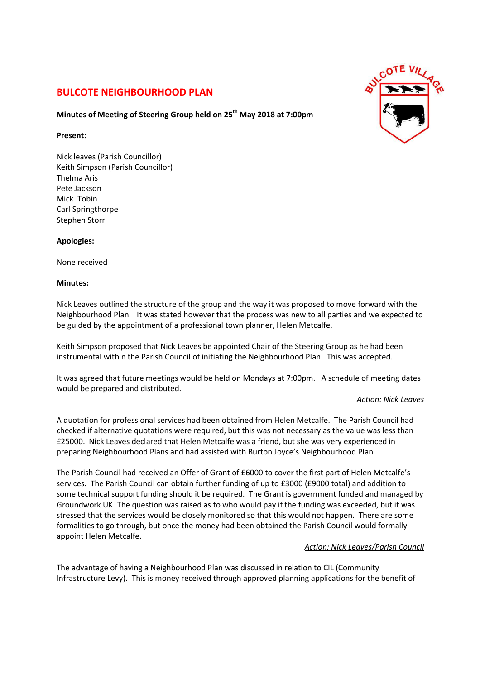# **BULCOTE NEIGHBOURHOOD PLAN**

# **Minutes of Meeting of Steering Group held on 25th May 2018 at 7:00pm**

## **Present:**

Nick leaves (Parish Councillor) Keith Simpson (Parish Councillor) Thelma Aris Pete Jackson Mick Tobin Carl Springthorpe Stephen Storr

# **Apologies:**

None received

## **Minutes:**

Nick Leaves outlined the structure of the group and the way it was proposed to move forward with the Neighbourhood Plan. It was stated however that the process was new to all parties and we expected to be guided by the appointment of a professional town planner, Helen Metcalfe.

Keith Simpson proposed that Nick Leaves be appointed Chair of the Steering Group as he had been instrumental within the Parish Council of initiating the Neighbourhood Plan. This was accepted.

It was agreed that future meetings would be held on Mondays at 7:00pm. A schedule of meeting dates would be prepared and distributed.

### *Action: Nick Leaves*

A quotation for professional services had been obtained from Helen Metcalfe. The Parish Council had checked if alternative quotations were required, but this was not necessary as the value was less than £25000. Nick Leaves declared that Helen Metcalfe was a friend, but she was very experienced in preparing Neighbourhood Plans and had assisted with Burton Joyce's Neighbourhood Plan.

The Parish Council had received an Offer of Grant of £6000 to cover the first part of Helen Metcalfe's services. The Parish Council can obtain further funding of up to £3000 (£9000 total) and addition to some technical support funding should it be required. The Grant is government funded and managed by Groundwork UK. The question was raised as to who would pay if the funding was exceeded, but it was stressed that the services would be closely monitored so that this would not happen. There are some formalities to go through, but once the money had been obtained the Parish Council would formally appoint Helen Metcalfe.

# *Action: Nick Leaves/Parish Council*

The advantage of having a Neighbourhood Plan was discussed in relation to CIL (Community Infrastructure Levy). This is money received through approved planning applications for the benefit of